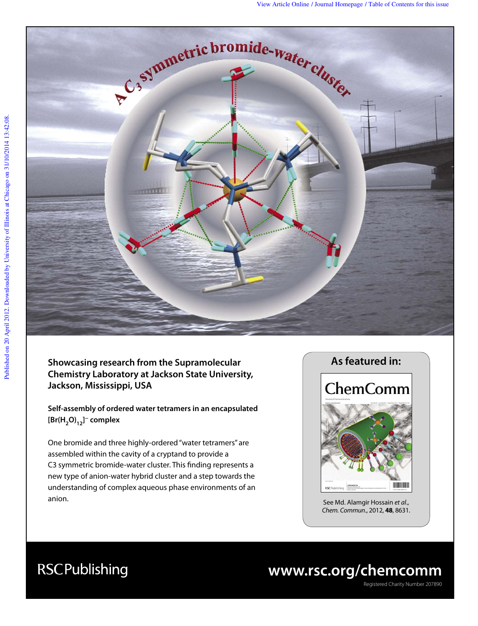

**Showcasing research from the Supramolecular Chemistry Laboratory at Jackson State University, Jackson, Mississippi, USA**

**Self-assembly of ordered water tetramers in an encapsulated [Br(H2O)12] − complex** 

One bromide and three highly-ordered "water tetramers" are assembled within the cavity of a cryptand to provide a C3 symmetric bromide-water cluster. This finding represents a new type of anion-water hybrid cluster and a step towards the understanding of complex aqueous phase environments of an anion.



See Md. Alamgir Hossain et al., Chem. Commun., 2012, **48**, 8631.

## **www.rsc.org/chemcomm**

Registered Charity Number 207890

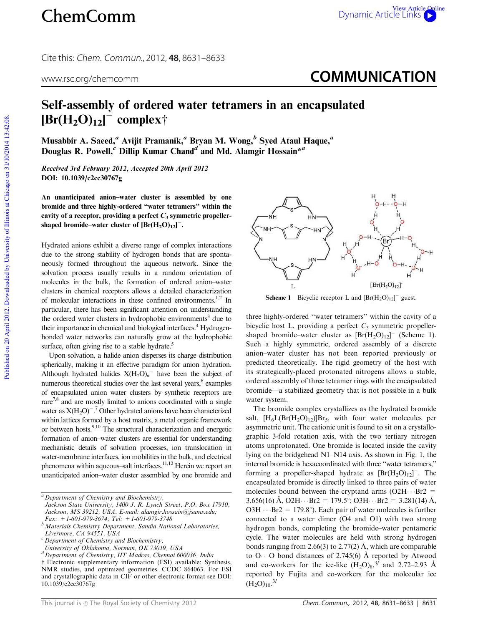Cite this: Chem. Commun., 2012, **48**, 8631–8633

## www.rsc.org/chemcomm **COMMUNICATION**

## Self-assembly of ordered water tetramers in an encapsulated  $\left[\text{Br}(H_2O)_{12}\right]$ <sup>-</sup> complex†

Musabbir A. Saeed, $\phantom{a}^a$  Avijit Pramanik, $\phantom{a}^a$  Bryan M. Wong, $\phantom{a}^b$  Syed Ataul Haque, $\phantom{a}^a$ Douglas R. Powell,  $c$  Dillip Kumar Chand<sup>d</sup> and Md. Alamgir Hossain\*<sup>a</sup>

Received 3rd February 2012, Accepted 20th April 2012 DOI: 10.1039/c2cc30767g

An unanticipated anion–water cluster is assembled by one bromide and three highly-ordered ''water tetramers'' within the cavity of a receptor, providing a perfect  $C_3$  symmetric propellershaped bromide–water cluster of  $[\text{Br}(\text{H}_{2}\text{O})_{12}]^{-}$ .

Hydrated anions exhibit a diverse range of complex interactions due to the strong stability of hydrogen bonds that are spontaneously formed throughout the aqueous network. Since the solvation process usually results in a random orientation of molecules in the bulk, the formation of ordered anion–water clusters in chemical receptors allows a detailed characterization of molecular interactions in these confined environments.<sup>1,2</sup> In particular, there has been significant attention on understanding the ordered water clusters in hydrophobic environments<sup>3</sup> due to their importance in chemical and biological interfaces.<sup>4</sup> Hydrogenbonded water networks can naturally grow at the hydrophobic surface, often giving rise to a stable hydrate.<sup>5</sup>

Upon solvation, a halide anion disperses its charge distribution spherically, making it an effective paradigm for anion hydration. Although hydrated halides  $X(H_2O)<sub>n</sub>$ <sup>-</sup> have been the subject of numerous theoretical studies over the last several years,<sup>6</sup> examples of encapsulated anion–water clusters by synthetic receptors are  $rare<sup>7,8</sup>$  and are mostly limited to anions coordinated with a single water as  $X(H_2O)^{-7}$  Other hydrated anions have been characterized within lattices formed by a host matrix, a metal organic framework or between hosts.<sup>9,10</sup> The structural characterization and energetic formation of anion–water clusters are essential for understanding mechanistic details of solvation processes, ion translocation in water-membrane interfaces, ion mobilities in the bulk, and electrical phenomena within aqueous–salt interfaces.<sup>11,12</sup> Herein we report an unanticipated anion–water cluster assembled by one bromide and



**Scheme 1** Bicyclic receptor L and  $[Br(H<sub>2</sub>O)<sub>12</sub>]$ <sup>-</sup> guest.

three highly-ordered ''water tetramers'' within the cavity of a bicyclic host L, providing a perfect  $C_3$  symmetric propellershaped bromide–water cluster as  $[Br(H<sub>2</sub>O)<sub>12</sub>]$ <sup>-</sup> (Scheme 1). Such a highly symmetric, ordered assembly of a discrete anion–water cluster has not been reported previously or predicted theoretically. The rigid geometry of the host with its strategically-placed protonated nitrogens allows a stable, ordered assembly of three tetramer rings with the encapsulated bromide—a stabilized geometry that is not possible in a bulk water system.

The bromide complex crystallizes as the hydrated bromide salt,  $[H_6L(Br(H_2O)_{12})]Br_5$ , with four water molecules per asymmetric unit. The cationic unit is found to sit on a crystallographic 3-fold rotation axis, with the two tertiary nitrogen atoms unprotonated. One bromide is located inside the cavity lying on the bridgehead N1–N14 axis. As shown in Fig. 1, the internal bromide is hexacoordinated with three ''water tetramers,'' forming a propeller-shaped hydrate as  $[Br(H<sub>2</sub>O)<sub>12</sub>]$ . The encapsulated bromide is directly linked to three pairs of water molecules bound between the cryptand arms  $(O2H \cdots Br2$  =  $3.656(16)$  Å, O2H $\cdots$ Br2 = 179.5°; O3H $\cdots$ Br2 = 3.281(14) Å,  $O3H \cdot Br2 = 179.8^{\circ}$ . Each pair of water molecules is further connected to a water dimer (O4 and O1) with two strong hydrogen bonds, completing the bromide–water pentameric cycle. The water molecules are held with strong hydrogen bonds ranging from 2.66(3) to 2.77(2) Å, which are comparable to O $\cdots$ O bond distances of 2.745(6) Å reported by Atwood and co-workers for the ice-like  $(H_2O)_{8}^{3f}$  and 2.72–2.93 Å reported by Fujita and co-workers for the molecular ice  $(H_2O)_{10}$ .<sup>3*l*</sup>

*<sup>a</sup> Department of Chemistry and Biochemistry, Jackson State University, 1400 J. R. Lynch Street, P.O. Box 17910, Jackson, MS 39212, USA. E-mail: alamgir.hossain@jsums.edu; Fax: +1-601-979-3674; Tel: +1-601-979-3748*

*<sup>b</sup>Materials Chemistry Department, Sandia National Laboratories, Livermore, CA 94551, USA*

*<sup>c</sup> Department of Chemistry and Biochemistry,*

*University of Oklahoma, Norman, OK 73019, USA*

*<sup>d</sup> Department of Chemistry, IIT Madras, Chennai 600036, India*

<sup>†</sup> Electronic supplementary information (ESI) available: Synthesis, NMR studies, and optimized geometries. CCDC 864063. For ESI and crystallographic data in CIF or other electronic format see DOI: 10.1039/c2cc30767g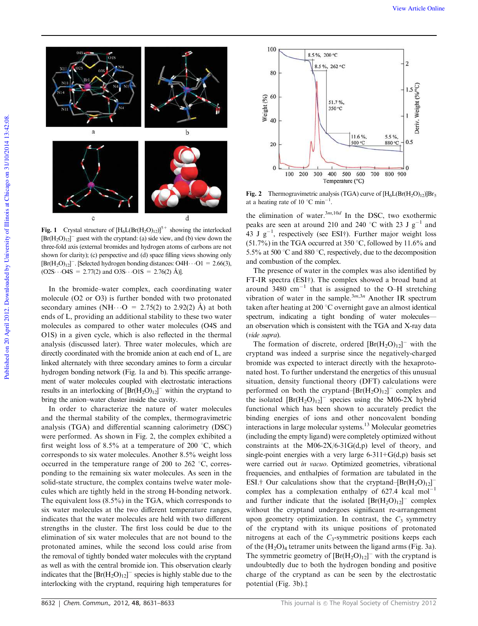

Fig. 1 Crystal structure of  $[H_6L(Br(H_2O)_{12})]^{5+}$  showing the interlocked  $[Br(H<sub>2</sub>O)<sub>12</sub>]$ <sup>-</sup> guest with the cryptand: (a) side view, and (b) view down the three-fold axis (external bromides and hydrogen atoms of carbons are not shown for clarity); (c) perspective and (d) space filling views showing only  $[\text{Br}(H_2O)_{12}]^-$ . [Selected hydrogen bonding distances: O4H $\cdots$ O1 = 2.66(3),  $(O2S\cdots O4S = 2.77(2)$  and  $O3S\cdots O1S = 2.76(2)$  Å)].

In the bromide–water complex, each coordinating water molecule (O2 or O3) is further bonded with two protonated secondary amines (NH $\cdot$  · O = 2.75(2) to 2.92(2) A) at both ends of L, providing an additional stability to these two water molecules as compared to other water molecules (O4S and O1S) in a given cycle, which is also reflected in the thermal analysis (discussed later). Three water molecules, which are directly coordinated with the bromide anion at each end of L, are linked alternately with three secondary amines to form a circular hydrogen bonding network (Fig. 1a and b). This specific arrangement of water molecules coupled with electrostatic interactions results in an interlocking of  $[Br(H<sub>2</sub>O)<sub>12</sub>]$ <sup>-</sup> within the cryptand to bring the anion–water cluster inside the cavity.

In order to characterize the nature of water molecules and the thermal stability of the complex, thermogravimetric analysis (TGA) and differential scanning calorimetry (DSC) were performed. As shown in Fig. 2, the complex exhibited a first weight loss of 8.5% at a temperature of 200  $^{\circ}$ C, which corresponds to six water molecules. Another 8.5% weight loss occurred in the temperature range of 200 to 262  $\degree$ C, corresponding to the remaining six water molecules. As seen in the solid-state structure, the complex contains twelve water molecules which are tightly held in the strong H-bonding network. The equivalent loss (8.5%) in the TGA, which corresponds to six water molecules at the two different temperature ranges, indicates that the water molecules are held with two different strengths in the cluster. The first loss could be due to the elimination of six water molecules that are not bound to the protonated amines, while the second loss could arise from the removal of tightly bonded water molecules with the cryptand as well as with the central bromide ion. This observation clearly indicates that the  $[Br(H<sub>2</sub>O)<sub>12</sub>]$ <sup>-</sup> species is highly stable due to the interlocking with the cryptand, requiring high temperatures for





Fig. 2 Thermogravimetric analysis (TGA) curve of  $[H_6L(Br(H_2O)_{12})]Br_5$ at a heating rate of 10  $^{\circ}$ C min<sup>-1</sup>.

the elimination of water.<sup>3*m*,10*d*</sup> In the DSC, two exothermic peaks are seen at around 210 and 240 °C with 23 J  $g^{-1}$  and 43 J  $g^{-1}$ , respectively (see ESI<sup>†</sup>). Further major weight loss  $(51.7\%)$  in the TGA occurred at 350 °C, followed by 11.6% and 5.5% at 500  $^{\circ}$ C and 880  $^{\circ}$ C, respectively, due to the decomposition and combustion of the complex.

The presence of water in the complex was also identified by FT-IR spectra (ESI†). The complex showed a broad band at around  $3480 \text{ cm}^{-1}$  that is assigned to the O-H stretching vibration of water in the sample.3*m*,3*<sup>n</sup>* Another IR spectrum taken after heating at 200 °C overnight gave an almost identical spectrum, indicating a tight bonding of water moleculesan observation which is consistent with the TGA and X-ray data (*vide supra*).

The formation of discrete, ordered  $[\text{Br}(H_2O)_{12}]^-$  with the cryptand was indeed a surprise since the negatively-charged bromide was expected to interact directly with the hexaprotonated host. To further understand the energetics of this unusual situation, density functional theory (DFT) calculations were performed on both the cryptand– $[Br(H<sub>2</sub>O)<sub>12</sub>]$ <sup>-</sup> complex and the isolated  $[Br(H<sub>2</sub>O)<sub>12</sub>]$ <sup>-</sup> species using the M06-2X hybrid functional which has been shown to accurately predict the binding energies of ions and other noncovalent bonding interactions in large molecular systems.<sup>13</sup> Molecular geometries (including the empty ligand) were completely optimized without constraints at the M06-2X/6-31 $G(d,p)$  level of theory, and single-point energies with a very large  $6-311+G(d,p)$  basis set were carried out *in vacuo.* Optimized geometries, vibrational frequencies, and enthalpies of formation are tabulated in the ESI.<sup>†</sup> Our calculations show that the cryptand–[Br(H<sub>2</sub>O)<sub>12</sub>]<sup>-</sup> complex has a complexation enthalpy of 627.4 kcal mol-1 and further indicate that the isolated  $[Br(H<sub>2</sub>O)<sub>12</sub>]$ <sup>-</sup> complex without the cryptand undergoes significant re-arrangement upon geometry optimization. In contrast, the  $C_3$  symmetry of the cryptand with its unique positions of protonated nitrogens at each of the *C*<sup>3</sup> -symmetric positions keeps each of the  $(H_2O)_4$  tetramer units between the ligand arms (Fig. 3a). The symmetric geometry of  $[Br(H<sub>2</sub>O)<sub>12</sub>]$ <sup>-</sup> with the cryptand is undoubtedly due to both the hydrogen bonding and positive charge of the cryptand as can be seen by the electrostatic potential (Fig.  $3b$ ). $\ddagger$